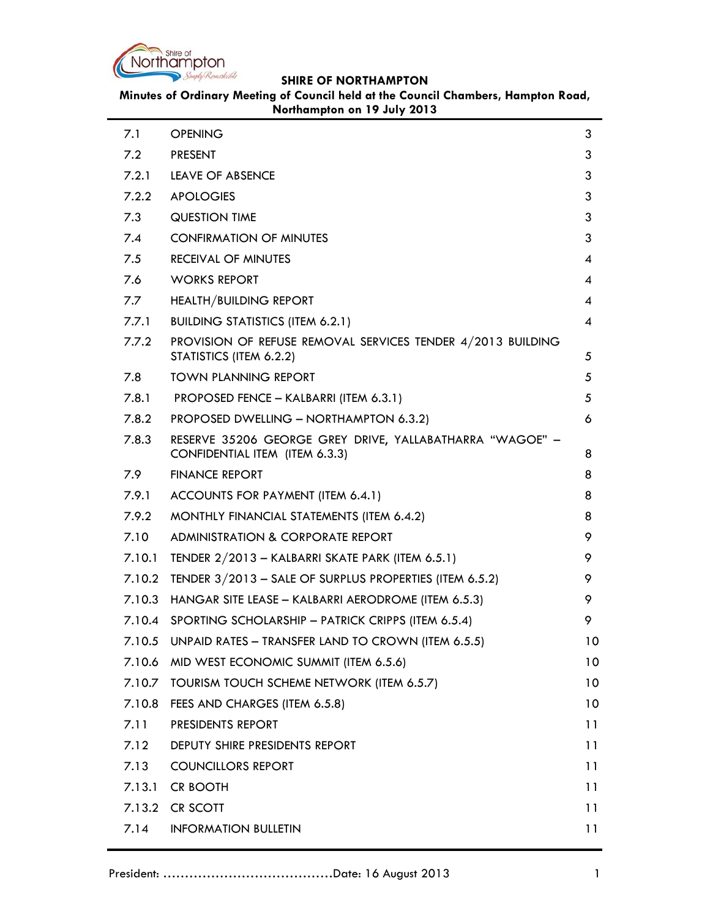

÷

## **SHIRE OF NORTHAMPTON**

**Minutes of Ordinary Meeting of Council held at the Council Chambers, Hampton Road, Northampton on 19 July 2013**

| 7.1    | <b>OPENING</b>                                                                             | 3  |
|--------|--------------------------------------------------------------------------------------------|----|
| 7.2    | <b>PRESENT</b>                                                                             | 3  |
| 7.2.1  | <b>LEAVE OF ABSENCE</b>                                                                    | 3  |
| 7.2.2  | <b>APOLOGIES</b>                                                                           | 3  |
| 7.3    | <b>QUESTION TIME</b>                                                                       | 3  |
| 7.4    | <b>CONFIRMATION OF MINUTES</b>                                                             | 3  |
| 7.5    | <b>RECEIVAL OF MINUTES</b>                                                                 | 4  |
| 7.6    | <b>WORKS REPORT</b>                                                                        | 4  |
| 7.7    | HEALTH/BUILDING REPORT                                                                     | 4  |
| 7.7.1  | <b>BUILDING STATISTICS (ITEM 6.2.1)</b>                                                    | 4  |
| 7.7.2  | PROVISION OF REFUSE REMOVAL SERVICES TENDER 4/2013 BUILDING<br>STATISTICS (ITEM 6.2.2)     | 5  |
| 7.8    | <b>TOWN PLANNING REPORT</b>                                                                | 5  |
| 7.8.1  | PROPOSED FENCE - KALBARRI (ITEM 6.3.1)                                                     | 5  |
| 7.8.2  | PROPOSED DWELLING - NORTHAMPTON 6.3.2)                                                     | 6  |
| 7.8.3  | RESERVE 35206 GEORGE GREY DRIVE, YALLABATHARRA "WAGOE" -<br>CONFIDENTIAL ITEM (ITEM 6.3.3) | 8  |
| 7.9    | <b>FINANCE REPORT</b>                                                                      | 8  |
| 7.9.1  | ACCOUNTS FOR PAYMENT (ITEM 6.4.1)                                                          | 8  |
| 7.9.2  | MONTHLY FINANCIAL STATEMENTS (ITEM 6.4.2)                                                  | 8  |
| 7.10   | ADMINISTRATION & CORPORATE REPORT                                                          | 9  |
| 7.10.1 | TENDER 2/2013 - KALBARRI SKATE PARK (ITEM 6.5.1)                                           | 9  |
| 7.10.2 | TENDER $3/2013$ – SALE OF SURPLUS PROPERTIES (ITEM 6.5.2)                                  | 9  |
| 7.10.3 | HANGAR SITE LEASE - KALBARRI AERODROME (ITEM 6.5.3)                                        | 9  |
|        | 7.10.4 SPORTING SCHOLARSHIP - PATRICK CRIPPS (ITEM 6.5.4)                                  | 9  |
| 7.10.5 | UNPAID RATES - TRANSFER LAND TO CROWN (ITEM 6.5.5)                                         | 10 |
| 7.10.6 | MID WEST ECONOMIC SUMMIT (ITEM 6.5.6)                                                      | 10 |
| 7.10.7 | TOURISM TOUCH SCHEME NETWORK (ITEM 6.5.7)                                                  | 10 |
| 7.10.8 | FEES AND CHARGES (ITEM 6.5.8)                                                              | 10 |
| 7.11   | PRESIDENTS REPORT                                                                          | 11 |
| 7.12   | DEPUTY SHIRE PRESIDENTS REPORT                                                             | 11 |
| 7.13   | <b>COUNCILLORS REPORT</b>                                                                  | 11 |
| 7.13.1 | <b>CR BOOTH</b>                                                                            | 11 |
| 7.13.2 | CR SCOTT                                                                                   | 11 |
| 7.14   | <b>INFORMATION BULLETIN</b>                                                                | 11 |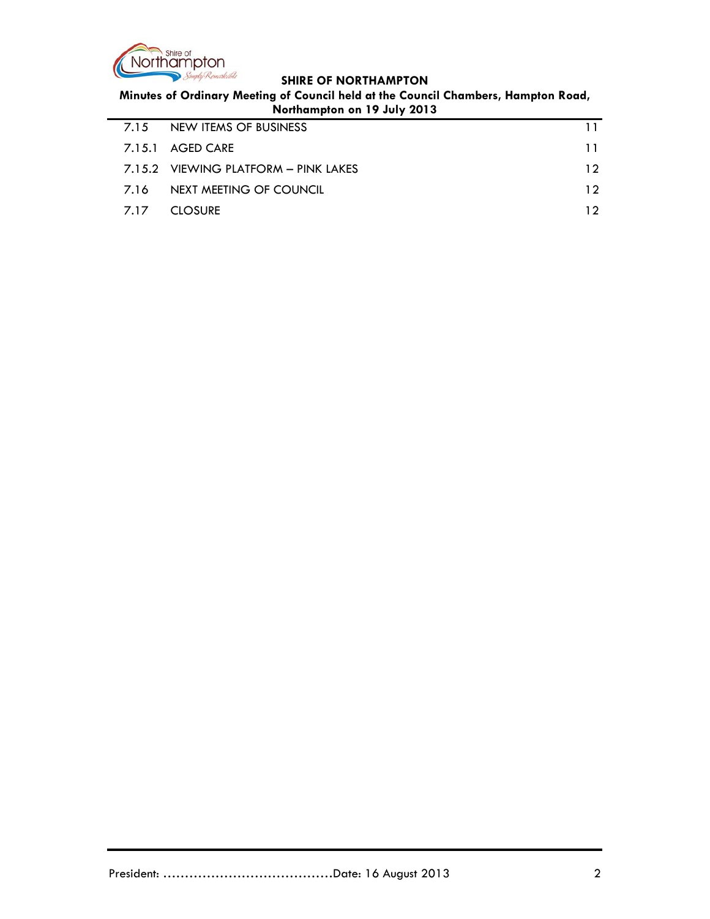

 $\mathbf{r}$ 

# **SHIRE OF NORTHAMPTON**

**Minutes of Ordinary Meeting of Council held at the Council Chambers, Hampton Road, Northampton on 19 July 2013**

| <b>TYPITIMITIPION ON TY JOIN 2013</b> |                                        |     |  |
|---------------------------------------|----------------------------------------|-----|--|
| 7.15                                  | NEW ITEMS OF BUSINESS                  |     |  |
|                                       | 7.15.1 AGED CARE                       | 11  |  |
|                                       | $7.15.2$ VIEWING PLATFORM – PINK LAKES | 12. |  |
| 7.16                                  | NEXT MEETING OF COUNCIL                | 12. |  |
| 7.17                                  | <b>CLOSURE</b>                         | 12. |  |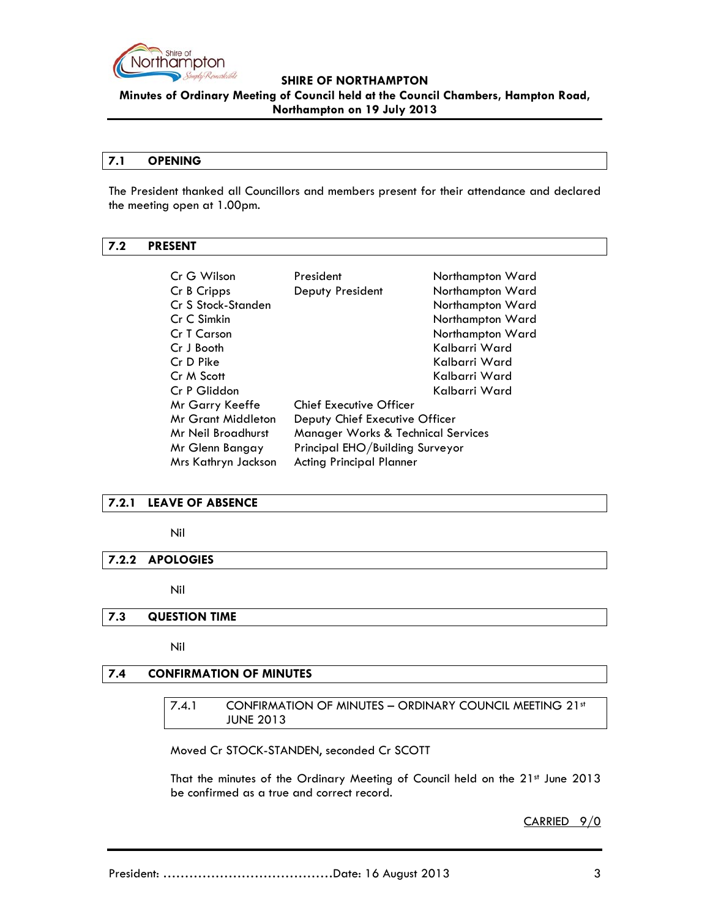

**Minutes of Ordinary Meeting of Council held at the Council Chambers, Hampton Road, Northampton on 19 July 2013**

#### **7.1 OPENING**

The President thanked all Councillors and members present for their attendance and declared the meeting open at 1.00pm.

### **7.2 PRESENT**

| Cr G Wilson               | President                                                                                             | Northampton Ward |
|---------------------------|-------------------------------------------------------------------------------------------------------|------------------|
| Cr B Cripps               | Deputy President                                                                                      | Northampton Ward |
| Cr S Stock-Standen        |                                                                                                       | Northampton Ward |
| Cr C Simkin               |                                                                                                       | Northampton Ward |
| Cr T Carson               |                                                                                                       | Northampton Ward |
| Cr J Booth                |                                                                                                       | Kalbarri Ward    |
| Cr D Pike                 |                                                                                                       | Kalbarri Ward    |
| Cr M Scott                |                                                                                                       | Kalbarri Ward    |
| Cr P Gliddon              |                                                                                                       | Kalbarri Ward    |
| Mr Garry Keeffe           | <b>Chief Executive Officer</b>                                                                        |                  |
| <b>Mr Grant Middleton</b> | Deputy Chief Executive Officer<br><b>Manager Works &amp; Technical Services</b><br>Mr Neil Broadhurst |                  |
|                           |                                                                                                       |                  |
| Mr Glenn Bangay           | Principal EHO/Building Surveyor                                                                       |                  |
| Mrs Kathryn Jackson       | <b>Acting Principal Planner</b>                                                                       |                  |

### **7.2.1 LEAVE OF ABSENCE**

#### Nil

#### **7.2.2 APOLOGIES**

Nil

#### **7.3 QUESTION TIME**

Nil

## **7.4 CONFIRMATION OF MINUTES**

7.4.1 CONFIRMATION OF MINUTES - ORDINARY COUNCIL MEETING 21st JUNE 2013

Moved Cr STOCK-STANDEN, seconded Cr SCOTT

That the minutes of the Ordinary Meeting of Council held on the 21st June 2013 be confirmed as a true and correct record.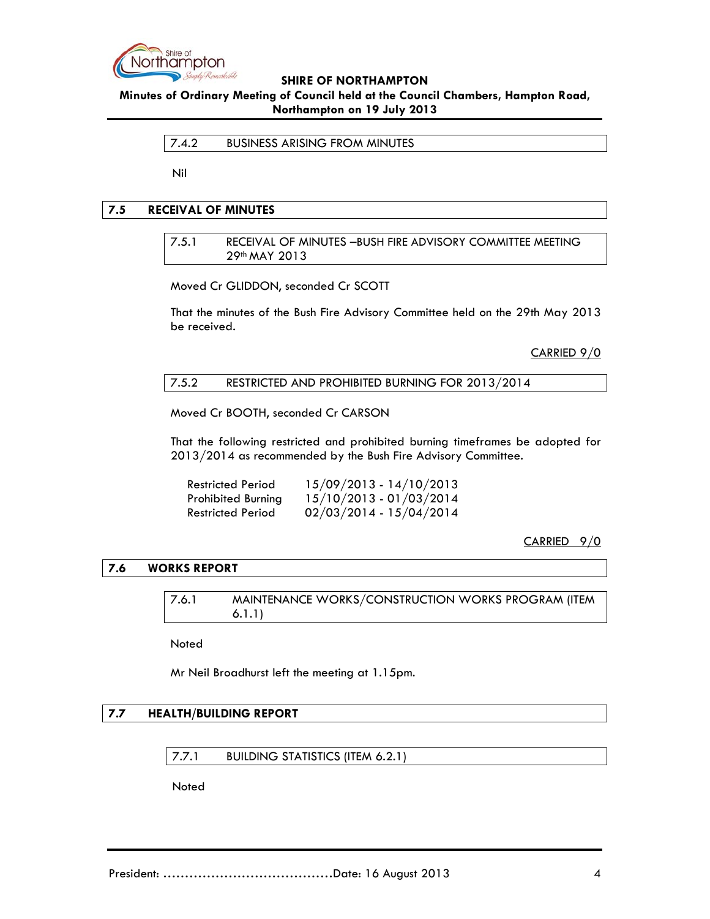

**Minutes of Ordinary Meeting of Council held at the Council Chambers, Hampton Road, Northampton on 19 July 2013**

7.4.2 BUSINESS ARISING FROM MINUTES

Nil

### **7.5 RECEIVAL OF MINUTES**

7.5.1 RECEIVAL OF MINUTES –BUSH FIRE ADVISORY COMMITTEE MEETING 29th MAY 2013

Moved Cr GLIDDON, seconded Cr SCOTT

That the minutes of the Bush Fire Advisory Committee held on the 29th May 2013 be received.

CARRIED 9/0

### 7.5.2 RESTRICTED AND PROHIBITED BURNING FOR 2013/2014

Moved Cr BOOTH, seconded Cr CARSON

That the following restricted and prohibited burning timeframes be adopted for 2013/2014 as recommended by the Bush Fire Advisory Committee.

| Restricted Period         | 15/09/2013 - 14/10/2013   |
|---------------------------|---------------------------|
| <b>Prohibited Burning</b> | 15/10/2013 - 01/03/2014   |
| <b>Restricted Period</b>  | $02/03/2014 - 15/04/2014$ |

CARRIED 9/0

### **7.6 WORKS REPORT**

7.6.1 MAINTENANCE WORKS/CONSTRUCTION WORKS PROGRAM (ITEM 6.1.1)

Noted

Mr Neil Broadhurst left the meeting at 1.15pm.

#### **7.7 HEALTH/BUILDING REPORT**

7.7.1 BUILDING STATISTICS (ITEM 6.2.1)

Noted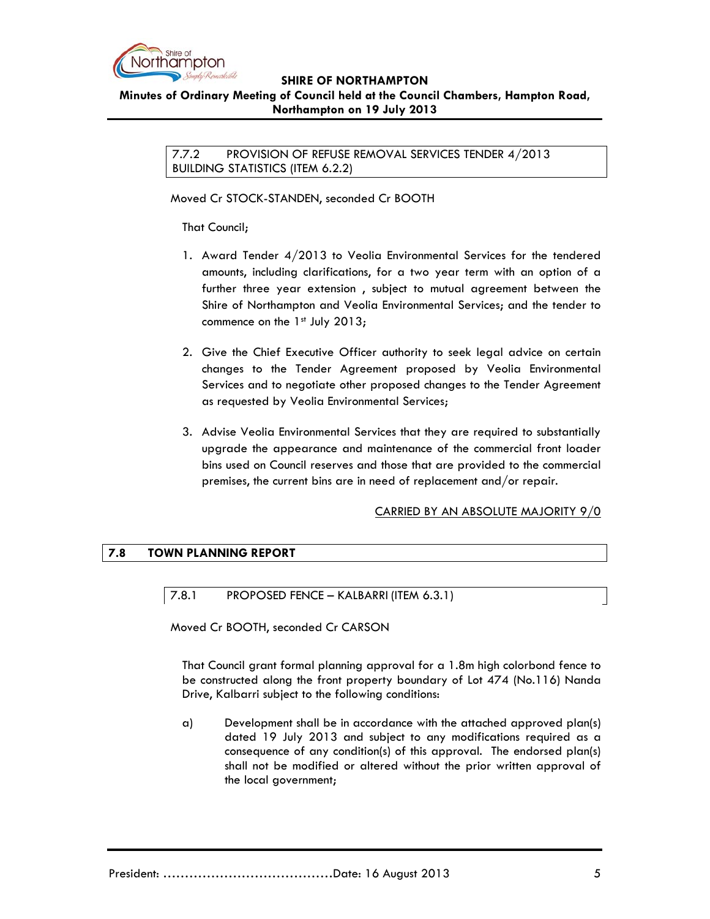

### **Minutes of Ordinary Meeting of Council held at the Council Chambers, Hampton Road, Northampton on 19 July 2013**

7.7.2 PROVISION OF REFUSE REMOVAL SERVICES TENDER 4/2013 BUILDING STATISTICS (ITEM 6.2.2)

Moved Cr STOCK-STANDEN, seconded Cr BOOTH

That Council;

- 1. Award Tender 4/2013 to Veolia Environmental Services for the tendered amounts, including clarifications, for a two year term with an option of a further three year extension , subject to mutual agreement between the Shire of Northampton and Veolia Environmental Services; and the tender to commence on the  $1<sup>st</sup>$  July 2013;
- 2. Give the Chief Executive Officer authority to seek legal advice on certain changes to the Tender Agreement proposed by Veolia Environmental Services and to negotiate other proposed changes to the Tender Agreement as requested by Veolia Environmental Services;
- 3. Advise Veolia Environmental Services that they are required to substantially upgrade the appearance and maintenance of the commercial front loader bins used on Council reserves and those that are provided to the commercial premises, the current bins are in need of replacement and/or repair.

## CARRIED BY AN ABSOLUTE MAJORITY 9/0

## **7.8 TOWN PLANNING REPORT**

7.8.1 PROPOSED FENCE – KALBARRI (ITEM 6.3.1)

Moved Cr BOOTH, seconded Cr CARSON

That Council grant formal planning approval for a 1.8m high colorbond fence to be constructed along the front property boundary of Lot 474 (No.116) Nanda Drive, Kalbarri subject to the following conditions:

a) Development shall be in accordance with the attached approved plan(s) dated 19 July 2013 and subject to any modifications required as a consequence of any condition(s) of this approval. The endorsed plan(s) shall not be modified or altered without the prior written approval of the local government;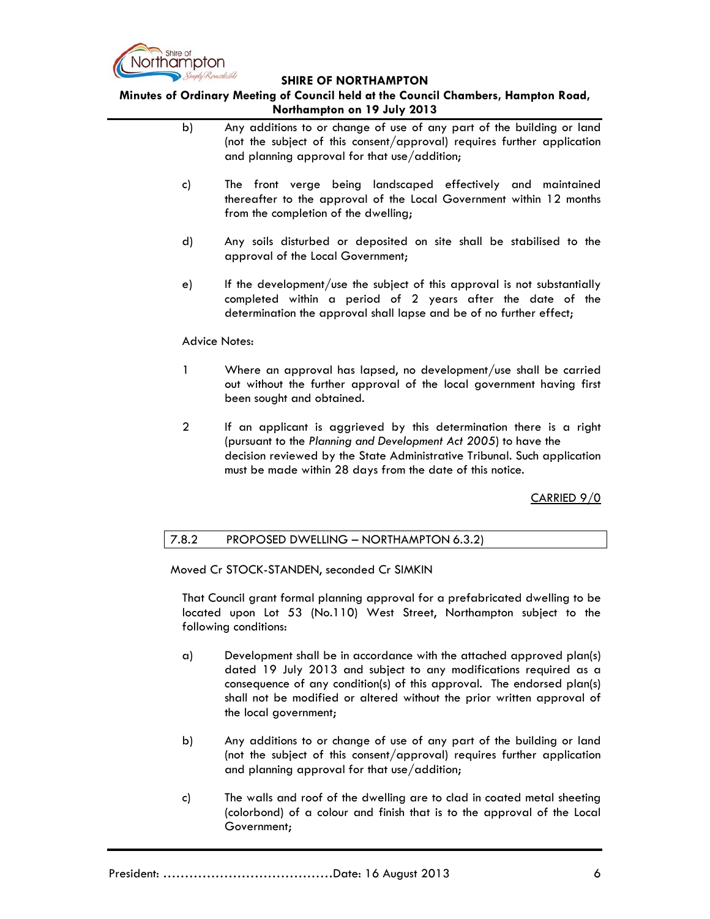

**Minutes of Ordinary Meeting of Council held at the Council Chambers, Hampton Road, Northampton on 19 July 2013**

- b) Any additions to or change of use of any part of the building or land (not the subject of this consent/approval) requires further application and planning approval for that use/addition;
- c) The front verge being landscaped effectively and maintained thereafter to the approval of the Local Government within 12 months from the completion of the dwelling;
- d) Any soils disturbed or deposited on site shall be stabilised to the approval of the Local Government;
- e) If the development/use the subject of this approval is not substantially completed within a period of 2 years after the date of the determination the approval shall lapse and be of no further effect;

#### Advice Notes:

- 1 Where an approval has lapsed, no development/use shall be carried out without the further approval of the local government having first been sought and obtained.
- 2 If an applicant is aggrieved by this determination there is a right (pursuant to the *Planning and Development Act 2005*) to have the decision reviewed by the State Administrative Tribunal. Such application must be made within 28 days from the date of this notice.

CARRIED 9/0

## 7.8.2 PROPOSED DWELLING – NORTHAMPTON 6.3.2)

Moved Cr STOCK-STANDEN, seconded Cr SIMKIN

That Council grant formal planning approval for a prefabricated dwelling to be located upon Lot 53 (No.110) West Street, Northampton subject to the following conditions:

- a) Development shall be in accordance with the attached approved plan(s) dated 19 July 2013 and subject to any modifications required as a consequence of any condition(s) of this approval. The endorsed plan(s) shall not be modified or altered without the prior written approval of the local government;
- b) Any additions to or change of use of any part of the building or land (not the subject of this consent/approval) requires further application and planning approval for that use/addition;
- c) The walls and roof of the dwelling are to clad in coated metal sheeting (colorbond) of a colour and finish that is to the approval of the Local Government;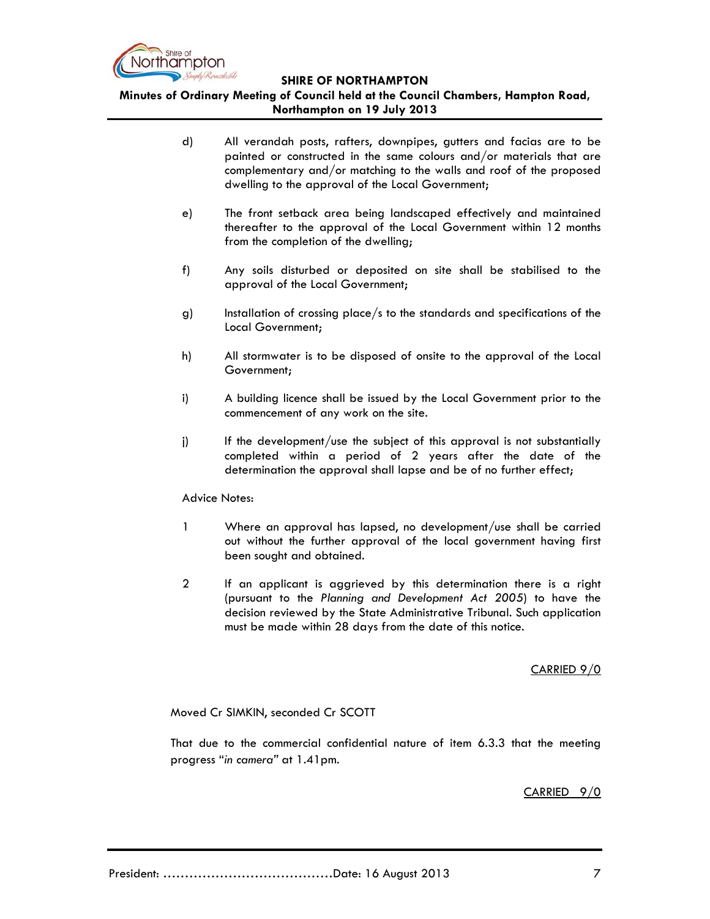

**Minutes of Ordinary Meeting of Council held at the Council Chambers, Hampton Road, Northampton on 19 July 2013**

- d) All verandah posts, rafters, downpipes, gutters and facias are to be painted or constructed in the same colours and/or materials that are complementary and/or matching to the walls and roof of the proposed dwelling to the approval of the Local Government;
- e) The front setback area being landscaped effectively and maintained thereafter to the approval of the Local Government within 12 months from the completion of the dwelling;
- f) Any soils disturbed or deposited on site shall be stabilised to the approval of the Local Government;
- g) Installation of crossing place/s to the standards and specifications of the Local Government;
- h) All stormwater is to be disposed of onsite to the approval of the Local Government;
- i) A building licence shall be issued by the Local Government prior to the commencement of any work on the site.
- j) If the development/use the subject of this approval is not substantially completed within a period of 2 years after the date of the determination the approval shall lapse and be of no further effect;

Advice Notes:

- 1 Where an approval has lapsed, no development/use shall be carried out without the further approval of the local government having first been sought and obtained.
- 2 If an applicant is aggrieved by this determination there is a right (pursuant to the *Planning and Development Act 2005*) to have the decision reviewed by the State Administrative Tribunal. Such application must be made within 28 days from the date of this notice.

## CARRIED 9/0

Moved Cr SIMKIN, seconded Cr SCOTT

That due to the commercial confidential nature of item 6.3.3 that the meeting progress "*in camera"* at 1.41pm.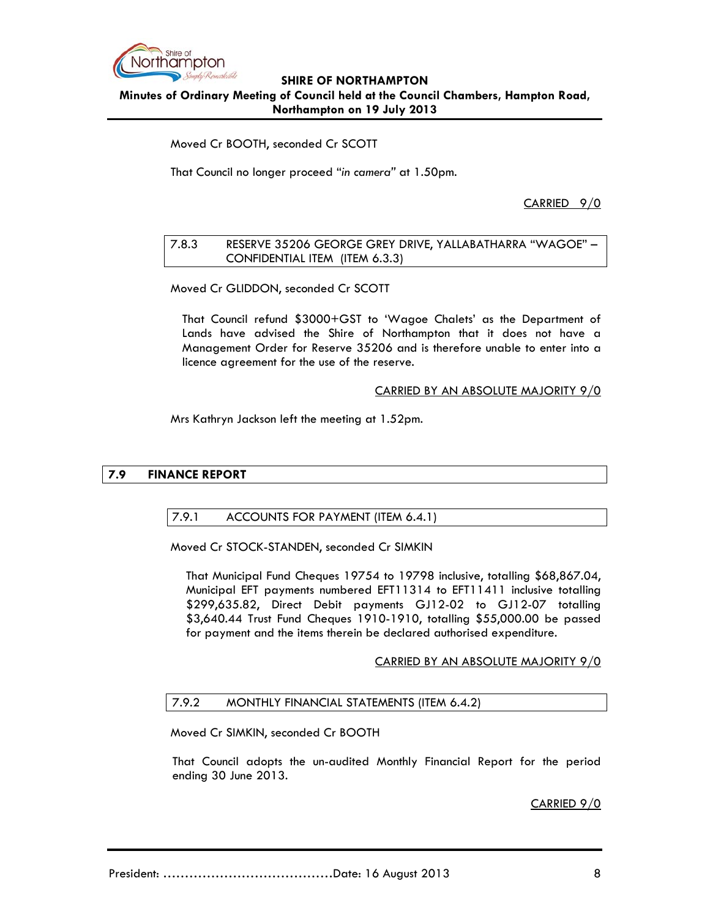

## **SHIRE OF NORTHAMPTON Minutes of Ordinary Meeting of Council held at the Council Chambers, Hampton Road, Northampton on 19 July 2013**

Moved Cr BOOTH, seconded Cr SCOTT

That Council no longer proceed "*in camera"* at 1.50pm.

CARRIED 9/0

## 7.8.3 RESERVE 35206 GEORGE GREY DRIVE, YALLABATHARRA "WAGOE" – CONFIDENTIAL ITEM (ITEM 6.3.3)

Moved Cr GLIDDON, seconded Cr SCOTT

That Council refund \$3000+GST to 'Wagoe Chalets' as the Department of Lands have advised the Shire of Northampton that it does not have a Management Order for Reserve 35206 and is therefore unable to enter into a licence agreement for the use of the reserve.

## CARRIED BY AN ABSOLUTE MAJORITY 9/0

Mrs Kathryn Jackson left the meeting at 1.52pm.

# **7.9 FINANCE REPORT**

## 7.9.1 ACCOUNTS FOR PAYMENT (ITEM 6.4.1)

Moved Cr STOCK-STANDEN, seconded Cr SIMKIN

That Municipal Fund Cheques 19754 to 19798 inclusive, totalling \$68,867.04, Municipal EFT payments numbered EFT11314 to EFT11411 inclusive totalling \$299,635.82, Direct Debit payments GJ12-02 to GJ12-07 totalling \$3,640.44 Trust Fund Cheques 1910-1910, totalling \$55,000.00 be passed for payment and the items therein be declared authorised expenditure.

## CARRIED BY AN ABSOLUTE MAJORITY 9/0

## 7.9.2 MONTHLY FINANCIAL STATEMENTS (ITEM 6.4.2)

Moved Cr SIMKIN, seconded Cr BOOTH

That Council adopts the un-audited Monthly Financial Report for the period ending 30 June 2013.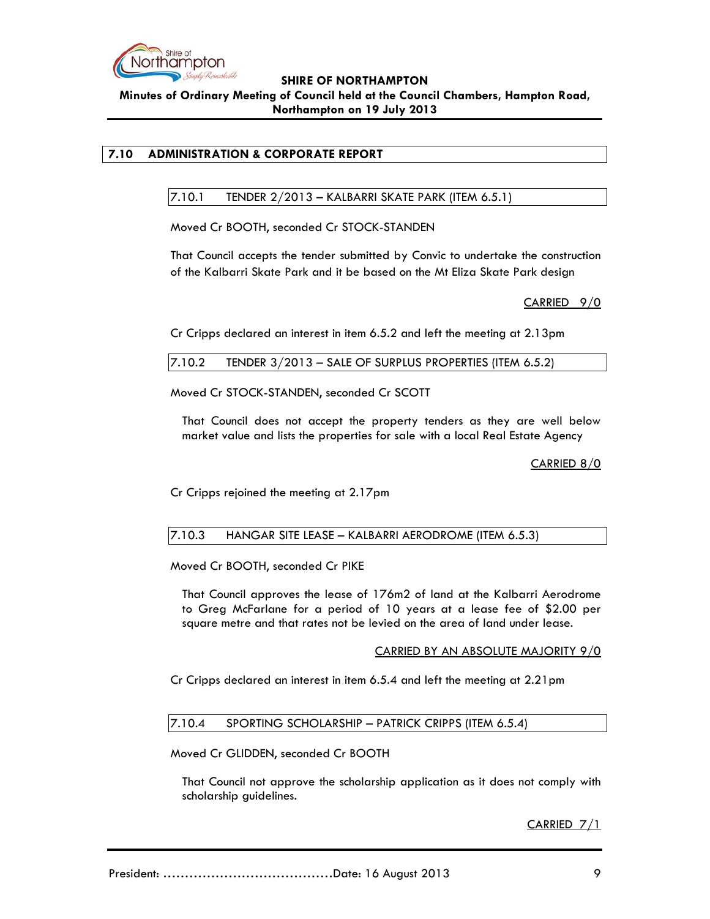

## **SHIRE OF NORTHAMPTON Minutes of Ordinary Meeting of Council held at the Council Chambers, Hampton Road, Northampton on 19 July 2013**

## **7.10 ADMINISTRATION & CORPORATE REPORT**

7.10.1 TENDER 2/2013 – KALBARRI SKATE PARK (ITEM 6.5.1)

Moved Cr BOOTH, seconded Cr STOCK-STANDEN

That Council accepts the tender submitted by Convic to undertake the construction of the Kalbarri Skate Park and it be based on the Mt Eliza Skate Park design

CARRIED 9/0

Cr Cripps declared an interest in item 6.5.2 and left the meeting at 2.13pm

Moved Cr STOCK-STANDEN, seconded Cr SCOTT

That Council does not accept the property tenders as they are well below market value and lists the properties for sale with a local Real Estate Agency

CARRIED 8/0

Cr Cripps rejoined the meeting at 2.17pm

#### 7.10.3 HANGAR SITE LEASE – KALBARRI AERODROME (ITEM 6.5.3)

Moved Cr BOOTH, seconded Cr PIKE

That Council approves the lease of 176m2 of land at the Kalbarri Aerodrome to Greg McFarlane for a period of 10 years at a lease fee of \$2.00 per square metre and that rates not be levied on the area of land under lease.

#### CARRIED BY AN ABSOLUTE MAJORITY 9/0

Cr Cripps declared an interest in item 6.5.4 and left the meeting at 2.21pm

## 7.10.4 SPORTING SCHOLARSHIP – PATRICK CRIPPS (ITEM 6.5.4)

Moved Cr GLIDDEN, seconded Cr BOOTH

That Council not approve the scholarship application as it does not comply with scholarship guidelines.

CARRIED 7/1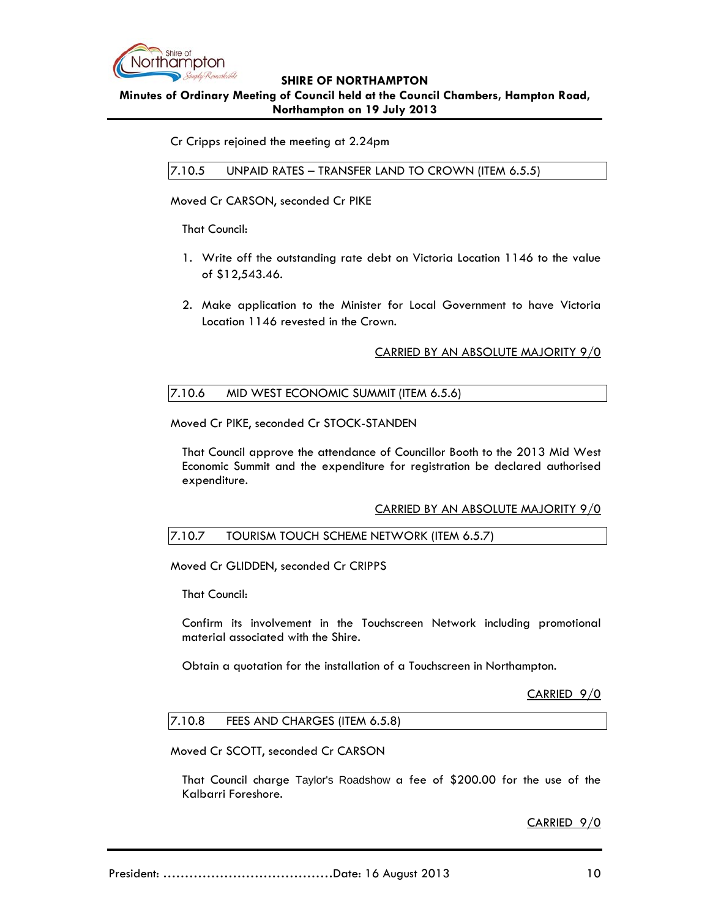

**Minutes of Ordinary Meeting of Council held at the Council Chambers, Hampton Road, Northampton on 19 July 2013**

Cr Cripps rejoined the meeting at 2.24pm

7.10.5 UNPAID RATES – TRANSFER LAND TO CROWN (ITEM 6.5.5)

Moved Cr CARSON, seconded Cr PIKE

That Council:

- 1. Write off the outstanding rate debt on Victoria Location 1146 to the value of \$12,543.46.
- 2. Make application to the Minister for Local Government to have Victoria Location 1146 revested in the Crown.

### CARRIED BY AN ABSOLUTE MAJORITY 9/0

## 7.10.6 MID WEST ECONOMIC SUMMIT (ITEM 6.5.6)

Moved Cr PIKE, seconded Cr STOCK-STANDEN

That Council approve the attendance of Councillor Booth to the 2013 Mid West Economic Summit and the expenditure for registration be declared authorised expenditure.

#### CARRIED BY AN ABSOLUTE MAJORITY 9/0

#### 7.10.7 TOURISM TOUCH SCHEME NETWORK (ITEM 6.5.7)

Moved Cr GLIDDEN, seconded Cr CRIPPS

That Council:

Confirm its involvement in the Touchscreen Network including promotional material associated with the Shire.

Obtain a quotation for the installation of a Touchscreen in Northampton.

CARRIED 9/0

#### 7.10.8 FEES AND CHARGES (ITEM 6.5.8)

Moved Cr SCOTT, seconded Cr CARSON

That Council charge Taylor's Roadshow a fee of \$200.00 for the use of the Kalbarri Foreshore.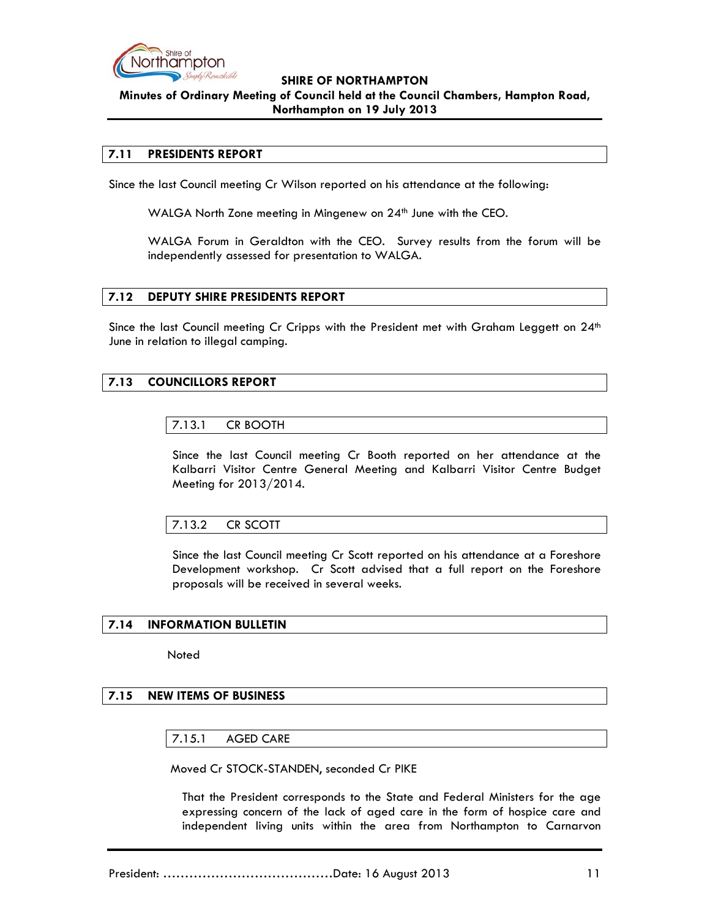

## **SHIRE OF NORTHAMPTON Minutes of Ordinary Meeting of Council held at the Council Chambers, Hampton Road, Northampton on 19 July 2013**

### **7.11 PRESIDENTS REPORT**

Since the last Council meeting Cr Wilson reported on his attendance at the following:

WALGA North Zone meeting in Mingenew on 24<sup>th</sup> June with the CEO.

WALGA Forum in Geraldton with the CEO. Survey results from the forum will be independently assessed for presentation to WALGA.

#### **7.12 DEPUTY SHIRE PRESIDENTS REPORT**

Since the last Council meeting Cr Cripps with the President met with Graham Leggett on  $24<sup>th</sup>$ June in relation to illegal camping.

### **7.13 COUNCILLORS REPORT**

#### 7.13.1 CR BOOTH

Since the last Council meeting Cr Booth reported on her attendance at the Kalbarri Visitor Centre General Meeting and Kalbarri Visitor Centre Budget Meeting for 2013/2014.

#### 7.13.2 CR SCOTT

Since the last Council meeting Cr Scott reported on his attendance at a Foreshore Development workshop. Cr Scott advised that a full report on the Foreshore proposals will be received in several weeks.

#### **7.14 INFORMATION BULLETIN**

**Noted** 

# **7.15 NEW ITEMS OF BUSINESS**

7.15.1 AGED CARE

Moved Cr STOCK-STANDEN, seconded Cr PIKE

That the President corresponds to the State and Federal Ministers for the age expressing concern of the lack of aged care in the form of hospice care and independent living units within the area from Northampton to Carnarvon